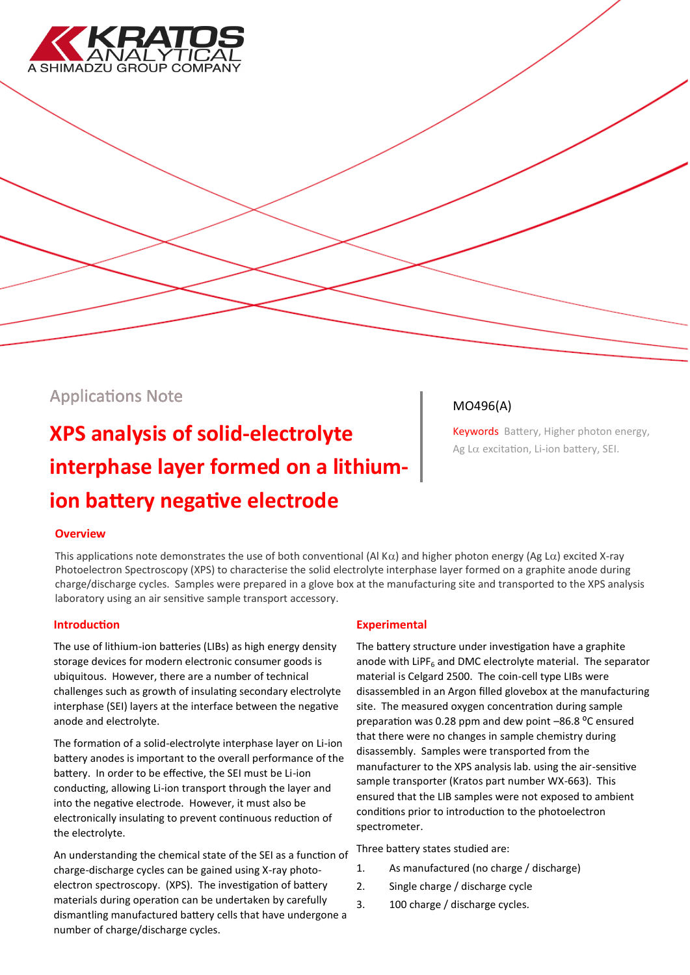

# Applications Note

# **XPS analysis of solid-electrolyte interphase layer formed on a lithiumion battery negative electrode**

# MO496(A)

Keywords Battery, Higher photon energy, Ag L $\alpha$  excitation, Li-ion battery, SEI.

## **Overview**

This applications note demonstrates the use of both conventional (Al K $\alpha$ ) and higher photon energy (Ag L $\alpha$ ) excited X-ray Photoelectron Spectroscopy (XPS) to characterise the solid electrolyte interphase layer formed on a graphite anode during charge/discharge cycles. Samples were prepared in a glove box at the manufacturing site and transported to the XPS analysis laboratory using an air sensitive sample transport accessory.

#### **Introduction**

The use of lithium-ion batteries (LIBs) as high energy density storage devices for modern electronic consumer goods is ubiquitous. However, there are a number of technical challenges such as growth of insulating secondary electrolyte interphase (SEI) layers at the interface between the negative anode and electrolyte.

The formation of a solid-electrolyte interphase layer on Li-ion battery anodes is important to the overall performance of the battery. In order to be effective, the SEI must be Li-ion conducting, allowing Li-ion transport through the layer and into the negative electrode. However, it must also be electronically insulating to prevent continuous reduction of the electrolyte.

An understanding the chemical state of the SEI as a function of charge-discharge cycles can be gained using X-ray photoelectron spectroscopy. (XPS). The investigation of battery materials during operation can be undertaken by carefully dismantling manufactured battery cells that have undergone a number of charge/discharge cycles.

## **Experimental**

The battery structure under investigation have a graphite anode with LiPF $<sub>6</sub>$  and DMC electrolyte material. The separator</sub> material is Celgard 2500. The coin-cell type LIBs were disassembled in an Argon filled glovebox at the manufacturing site. The measured oxygen concentration during sample preparation was 0.28 ppm and dew point  $-86.8$  °C ensured that there were no changes in sample chemistry during disassembly. Samples were transported from the manufacturer to the XPS analysis lab. using the air-sensitive sample transporter (Kratos part number WX-663). This ensured that the LIB samples were not exposed to ambient conditions prior to introduction to the photoelectron spectrometer.

Three battery states studied are:

- 1. As manufactured (no charge / discharge)
- 2. Single charge / discharge cycle
- 3. 100 charge / discharge cycles.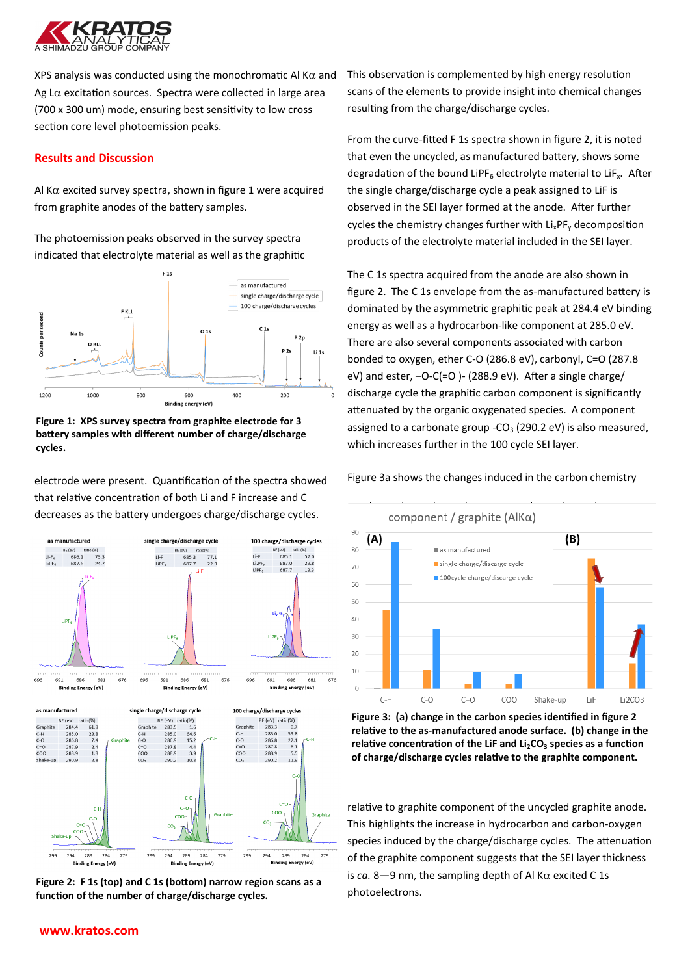

XPS analysis was conducted using the monochromatic Al K $\alpha$  and Ag L $\alpha$  excitation sources. Spectra were collected in large area (700 x 300 um) mode, ensuring best sensitivity to low cross section core level photoemission peaks.

#### **Results and Discussion**

Al K $\alpha$  excited survey spectra, shown in figure 1 were acquired from graphite anodes of the battery samples.

The photoemission peaks observed in the survey spectra indicated that electrolyte material as well as the graphitic



**Figure 1: XPS survey spectra from graphite electrode for 3 battery samples with different number of charge/discharge cycles.**

electrode were present. Quantification of the spectra showed that relative concentration of both Li and F increase and C decreases as the battery undergoes charge/discharge cycles.



**Figure 2: F 1s (top) and C 1s (bottom) narrow region scans as a function of the number of charge/discharge cycles.**

This observation is complemented by high energy resolution scans of the elements to provide insight into chemical changes resulting from the charge/discharge cycles.

From the curve-fitted F 1s spectra shown in figure 2, it is noted that even the uncycled, as manufactured battery, shows some degradation of the bound LiPF<sub>6</sub> electrolyte material to LiF<sub>x</sub>. After the single charge/discharge cycle a peak assigned to LiF is observed in the SEI layer formed at the anode. After further cycles the chemistry changes further with  $Li_xPF_y$  decomposition products of the electrolyte material included in the SEI layer.

The C 1s spectra acquired from the anode are also shown in figure 2. The C 1s envelope from the as-manufactured battery is dominated by the asymmetric graphitic peak at 284.4 eV binding energy as well as a hydrocarbon-like component at 285.0 eV. There are also several components associated with carbon bonded to oxygen, ether C-O (286.8 eV), carbonyl, C=O (287.8 eV) and ester, –O-C(=O )- (288.9 eV). After a single charge/ discharge cycle the graphitic carbon component is significantly attenuated by the organic oxygenated species. A component assigned to a carbonate group - $CO<sub>3</sub>$  (290.2 eV) is also measured, which increases further in the 100 cycle SEI layer.

Figure 3a shows the changes induced in the carbon chemistry



**Figure 3: (a) change in the carbon species identified in figure 2 relative to the as-manufactured anode surface. (b) change in the relative concentration of the LiF and Li2CO<sup>3</sup> species as a function of charge/discharge cycles relative to the graphite component.**

relative to graphite component of the uncycled graphite anode. This highlights the increase in hydrocarbon and carbon-oxygen species induced by the charge/discharge cycles. The attenuation of the graphite component suggests that the SEI layer thickness is  $ca. 8-9$  nm, the sampling depth of Al K $\alpha$  excited C 1s photoelectrons.